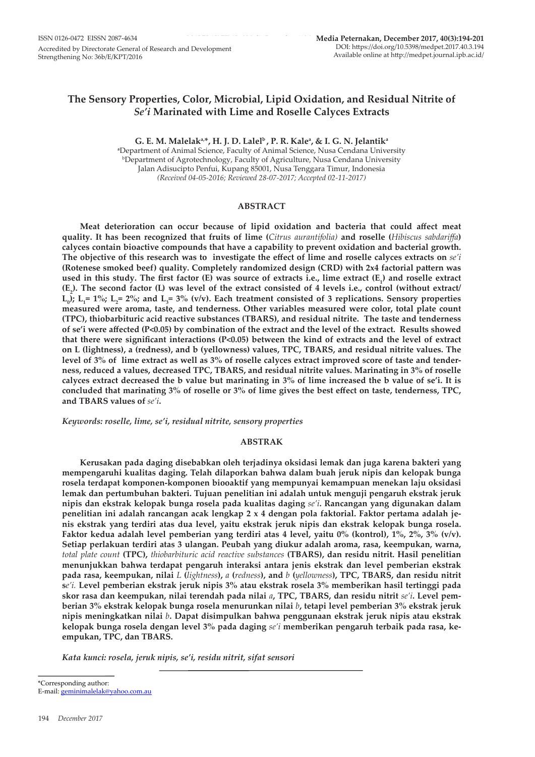# **The Sensory Properties, Color, Microbial, Lipid Oxidation, and Residual Nitrite of**  *Se'i* **Marinated with Lime and Roselle Calyces Extracts**

**G. E. M. Malelaka,\*, H. J. D. Lalelb , P. R. Kalea , & I. G. N. Jelantika a** Department of Animal Science, Faculty of Animal Science, Nusa Cendana University b Department of Agrotechnology, Faculty of Agriculture, Nusa Cendana University Jalan Adisucipto Penfui, Kupang 85001, Nusa Tenggara Timur, Indonesia *(Received 04-05-2016; Reviewed 28-07-2017; Accepted 02-11-2017)*

# **ABSTRACT**

**Meat deterioration can occur because of lipid oxidation and bacteria that could affect meat quality. It has been recognized that fruits of lime (***Citrus aurantifolia)* **and roselle (***Hibiscus sabdariffa***) calyces contain bioactive compounds that have a capability to prevent oxidation and bacterial growth. The objective of this research was to investigate the effect of lime and roselle calyces extracts on** *se'i* **(Rotenese smoked beef) quality. Completely randomized design (CRD) with 2x4 factorial pattern was used in this study. The first factor (E) was source of extracts i.e., lime extract (E<sup>1</sup> ) and roselle extract**   $(E_2)$ . The second factor (L) was level of the extract consisted of 4 levels i.e., control (without extract/  $L_0$ );  $L_1$  = 1%;  $L_2$  = 2%; and  $L_3$  = 3% (v/v). Each treatment consisted of 3 replications. Sensory properties **measured were aroma, taste, and tenderness. Other variables measured were color, total plate count (TPC), thiobarbituric acid reactive substances (TBARS), and residual nitrite. The taste and tenderness of se'i were affected (P<0.05) by combination of the extract and the level of the extract. Results showed that there were significant interactions (P<0.05) between the kind of extracts and the level of extract on L (lightness), a (redness), and b (yellowness) values, TPC, TBARS, and residual nitrite values. The level of 3% of lime extract as well as 3% of roselle calyces extract improved score of taste and tenderness, reduced a values, decreased TPC, TBARS, and residual nitrite values. Marinating in 3% of roselle calyces extract decreased the b value but marinating in 3% of lime increased the b value of se'i. It is concluded that marinating 3% of roselle or 3% of lime gives the best effect on taste, tenderness, TPC, and TBARS values of** *se'i***.** 

*Keywords: roselle, lime, se'i, residual nitrite, sensory properties*

# **ABSTRAK**

**Kerusakan pada daging disebabkan oleh terjadinya oksidasi lemak dan juga karena bakteri yang mempengaruhi kualitas daging. Telah dilaporkan bahwa dalam buah jeruk nipis dan kelopak bunga rosela terdapat komponen-komponen biooaktif yang mempunyai kemampuan menekan laju oksidasi lemak dan pertumbuhan bakteri. Tujuan penelitian ini adalah untuk menguji pengaruh ekstrak jeruk nipis dan ekstrak kelopak bunga rosela pada kualitas daging** *se'i***. Rancangan yang digunakan dalam penelitian ini adalah rancangan acak lengkap 2 x 4 dengan pola faktorial. Faktor pertama adalah jenis ekstrak yang terdiri atas dua level, yaitu ekstrak jeruk nipis dan ekstrak kelopak bunga rosela. Faktor kedua adalah level pemberian yang terdiri atas 4 level, yaitu 0% (kontrol), 1%, 2%, 3% (v/v). Setiap perlakuan terdiri atas 3 ulangan. Peubah yang diukur adalah aroma, rasa, keempukan, warna,**  *total plate count* **(TPC),** *thiobarbituric acid reactive substances* **(TBARS), dan residu nitrit. Hasil penelitian menunjukkan bahwa terdapat pengaruh interaksi antara jenis ekstrak dan level pemberian ekstrak pada rasa, keempukan, nilai** *L* **(***lightness***),** *a* **(***redness***), and** *b* **(***yellowness***), TPC, TBARS, dan residu nitrit s***e'i.* **Level pemberian ekstrak jeruk nipis 3% atau ekstrak rosela 3% memberikan hasil tertinggi pada skor rasa dan keempukan, nilai terendah pada nilai** *a***, TPC, TBARS, dan residu nitrit** *se'i***. Level pemberian 3% ekstrak kelopak bunga rosela menurunkan nilai** *b***, tetapi level pemberian 3% ekstrak jeruk nipis meningkatkan nilai** *b***. Dapat disimpulkan bahwa penggunaan ekstrak jeruk nipis atau ekstrak kelopak bunga rosela dengan level 3% pada daging** *se'i* **memberikan pengaruh terbaik pada rasa, keempukan, TPC, dan TBARS.**

*Kata kunci: rosela, jeruk nipis, se'i, residu nitrit, sifat sensori*

\*Corresponding author: E-mail: geminimalelak@yahoo.com.au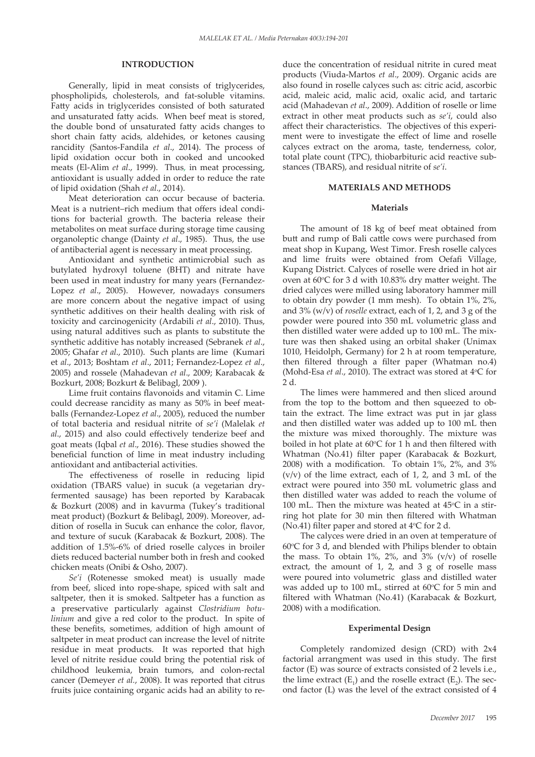# **INTRODUCTION**

Generally, lipid in meat consists of triglycerides, phospholipids, cholesterols, and fat-soluble vitamins. Fatty acids in triglycerides consisted of both saturated and unsaturated fatty acids. When beef meat is stored, the double bond of unsaturated fatty acids changes to short chain fatty acids, aldehides, or ketones causing rancidity (Santos-Fandila *et al*., 2014). The process of lipid oxidation occur both in cooked and uncooked meats (El-Alim *et al*., 1999). Thus, in meat processing, antioxidant is usually added in order to reduce the rate of lipid oxidation (Shah *et al*., 2014).

Meat deterioration can occur because of bacteria. Meat is a nutrient–rich medium that offers ideal conditions for bacterial growth. The bacteria release their metabolites on meat surface during storage time causing organoleptic change (Dainty *et al*., 1985). Thus, the use of antibacterial agent is necessary in meat processing.

Antioxidant and synthetic antimicrobial such as butylated hydroxyl toluene (BHT) and nitrate have been used in meat industry for many years (Fernandez-Lopez *et al*., 2005). However, nowadays consumers are more concern about the negative impact of using synthetic additives on their health dealing with risk of toxicity and carcinogenicity (Ardabili *et al*., 2010). Thus, using natural additives such as plants to substitute the synthetic additive has notably increased (Sebranek *et al*., 2005; Ghafar *et al*., 2010). Such plants are lime (Kumari et *al*., 2013; Boshtam *et al*., 2011; Fernandez-Lopez *et al*., 2005) and rossele (Mahadevan *et al*., 2009; Karabacak & Bozkurt, 2008; Bozkurt & Belibagl, 2009 ).

Lime fruit contains flavonoids and vitamin C. Lime could decrease rancidity as many as 50% in beef meatballs (Fernandez-Lopez *et al*., 2005), reduced the number of total bacteria and residual nitrite of *se'i* (Malelak *et al*., 2015) and also could effectively tenderize beef and goat meats (Iqbal *et al*., 2016). These studies showed the beneficial function of lime in meat industry including antioxidant and antibacterial activities.

The effectiveness of roselle in reducing lipid oxidation (TBARS value) in sucuk (a vegetarian dryfermented sausage) has been reported by Karabacak & Bozkurt (2008) and in kavurma (Tukey's traditional meat product) (Bozkurt & Belibagl, 2009). Moreover, addition of rosella in Sucuk can enhance the color, flavor, and texture of sucuk (Karabacak & Bozkurt, 2008). The addition of 1.5%-6% of dried roselle calyces in broiler diets reduced bacterial number both in fresh and cooked chicken meats (Onibi & Osho, 2007).

*Se'i* (Rotenesse smoked meat) is usually made from beef, sliced into rope-shape, spiced with salt and saltpeter, then it is smoked. Saltpeter has a function as a preservative particularly against *Clostridium botulinium* and give a red color to the product. In spite of these benefits, sometimes, addition of high amount of saltpeter in meat product can increase the level of nitrite residue in meat products. It was reported that high level of nitrite residue could bring the potential risk of childhood leukemia, brain tumors, and colon-rectal cancer (Demeyer *et al.*, 2008). It was reported that citrus fruits juice containing organic acids had an ability to reduce the concentration of residual nitrite in cured meat products (Viuda-Martos *et al*., 2009). Organic acids are also found in roselle calyces such as: citric acid, ascorbic acid, maleic acid, malic acid, oxalic acid, and tartaric acid (Mahadevan *et al*., 2009). Addition of roselle or lime extract in other meat products such as *se'i*, could also affect their characteristics. The objectives of this experiment were to investigate the effect of lime and roselle calyces extract on the aroma, taste, tenderness, color, total plate count (TPC), thiobarbituric acid reactive substances (TBARS), and residual nitrite of *se'i*.

# **MATERIALS AND METHODS**

### **Materials**

The amount of 18 kg of beef meat obtained from butt and rump of Bali cattle cows were purchased from meat shop in Kupang, West Timor. Fresh roselle calyces and lime fruits were obtained from Oefafi Village, Kupang District. Calyces of roselle were dried in hot air oven at 60°C for 3 d with 10.83% dry matter weight. The dried calyces were milled using laboratory hammer mill to obtain dry powder (1 mm mesh). To obtain 1%, 2%, and 3% (w/v) of *roselle* extract, each of 1, 2, and 3 g of the powder were poured into 350 mL volumetric glass and then distilled water were added up to 100 mL. The mixture was then shaked using an orbital shaker (Unimax 1010, Heidolph, Germany) for 2 h at room temperature, then filtered through a filter paper (Whatman no.4) (Mohd-Esa *et al.*, 2010). The extract was stored at 4°C for 2 d.

The limes were hammered and then sliced around from the top to the bottom and then squeezed to obtain the extract. The lime extract was put in jar glass and then distilled water was added up to 100 mL then the mixture was mixed thoroughly. The mixture was boiled in hot plate at  $60^{\circ}$ C for 1 h and then filtered with Whatman (No.41) filter paper (Karabacak & Bozkurt, 2008) with a modification. To obtain 1%, 2%, and 3%  $(v/v)$  of the lime extract, each of 1, 2, and 3 mL of the extract were poured into 350 mL volumetric glass and then distilled water was added to reach the volume of 100 mL. Then the mixture was heated at  $45^{\circ}$ C in a stirring hot plate for 30 min then filtered with Whatman (No.41) filter paper and stored at  $4^{\circ}$ C for 2 d.

The calyces were dried in an oven at temperature of  $60^{\circ}$ C for 3 d, and blended with Philips blender to obtain the mass. To obtain  $1\%$ ,  $2\%$ , and  $3\%$  (v/v) of roselle extract, the amount of 1, 2, and 3 g of roselle mass were poured into volumetric glass and distilled water was added up to 100 mL, stirred at  $60^{\circ}$ C for 5 min and filtered with Whatman (No.41) (Karabacak & Bozkurt, 2008) with a modification.

### **Experimental Design**

Completely randomized design (CRD) with 2x4 factorial arrangment was used in this study. The first factor (E) was source of extracts consisted of 2 levels i.e., the lime extract  $(E_1)$  and the roselle extract  $(E_2)$ . The second factor (L) was the level of the extract consisted of 4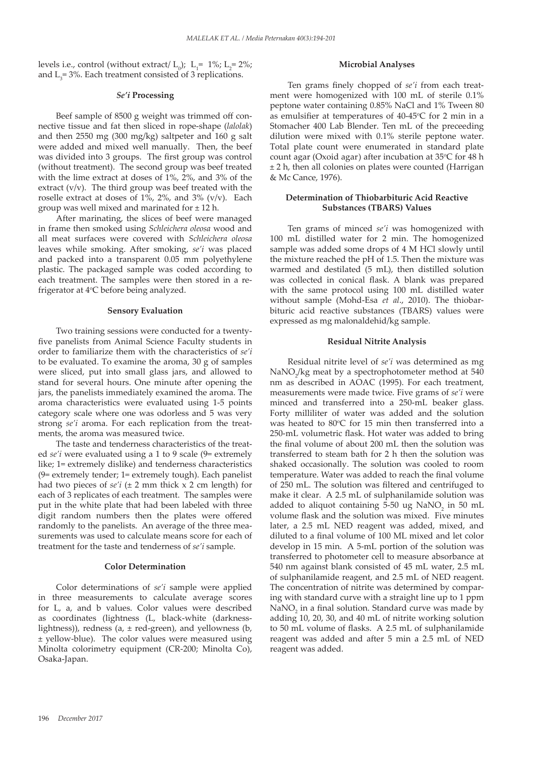levels i.e., control (without extract/  $L_0$ );  $L_1$ = 1%;  $L_2$ = 2%; and  $L_3$ = 3%. Each treatment consisted of 3 replications.

# *Se'i* **Processing**

Beef sample of 8500 g weight was trimmed off connective tissue and fat then sliced in rope-shape (*lalolak*) and then 2550 mg (300 mg/kg) saltpeter and 160 g salt were added and mixed well manually. Then, the beef was divided into 3 groups. The first group was control (without treatment). The second group was beef treated with the lime extract at doses of 1%, 2%, and 3% of the extract (v/v). The third group was beef treated with the roselle extract at doses of  $1\%$ ,  $2\%$ , and  $3\%$  (v/v). Each group was well mixed and marinated for  $\pm$  12 h.

After marinating, the slices of beef were managed in frame then smoked using *Schleichera oleosa* wood and all meat surfaces were covered with *Schleichera oleosa*  leaves while smoking. After smoking, *se'i* was placed and packed into a transparent 0.05 mm polyethylene plastic. The packaged sample was coded according to each treatment. The samples were then stored in a refrigerator at 4°C before being analyzed.

# **Sensory Evaluation**

Two training sessions were conducted for a twentyfive panelists from Animal Science Faculty students in order to familiarize them with the characteristics of *se'i* to be evaluated. To examine the aroma, 30 g of samples were sliced, put into small glass jars, and allowed to stand for several hours. One minute after opening the jars, the panelists immediately examined the aroma. The aroma characteristics were evaluated using 1-5 points category scale where one was odorless and 5 was very strong *se'i* aroma. For each replication from the treatments, the aroma was measured twice.

The taste and tenderness characteristics of the treated *se'i* were evaluated using a 1 to 9 scale (9= extremely like; 1= extremely dislike) and tenderness characteristics (9= extremely tender; 1= extremely tough). Each panelist had two pieces of *se'i* (± 2 mm thick x 2 cm length) for each of 3 replicates of each treatment. The samples were put in the white plate that had been labeled with three digit random numbers then the plates were offered randomly to the panelists. An average of the three measurements was used to calculate means score for each of treatment for the taste and tenderness of *se'i* sample.

### **Color Determination**

Color determinations of *se'i* sample were applied in three measurements to calculate average scores for L, a, and b values. Color values were described as coordinates (lightness (L, black-white (darknesslightness)), redness ( $a$ ,  $\pm$  red-green), and yellowness ( $b$ , ± yellow-blue). The color values were measured using Minolta colorimetry equipment (CR-200; Minolta Co), Osaka-Japan.

#### **Microbial Analyses**

Ten grams finely chopped of *se'i* from each treatment were homogenized with 100 mL of sterile 0.1% peptone water containing 0.85% NaCl and 1% Tween 80 as emulsifier at temperatures of  $40-45$ °C for 2 min in a Stomacher 400 Lab Blender. Ten mL of the preceeding dilution were mixed with 0.1% sterile peptone water. Total plate count were enumerated in standard plate count agar (Oxoid agar) after incubation at 35°C for 48 h ± 2 h, then all colonies on plates were counted (Harrigan & Mc Cance, 1976).

# **Determination of Thiobarbituric Acid Reactive Substances (TBARS) Values**

Ten grams of minced *se'i* was homogenized with 100 mL distilled water for 2 min. The homogenized sample was added some drops of 4 M HCl slowly until the mixture reached the pH of 1.5. Then the mixture was warmed and destilated (5 mL), then distilled solution was collected in conical flask. A blank was prepared with the same protocol using 100 mL distilled water without sample (Mohd-Esa *et al*., 2010). The thiobarbituric acid reactive substances (TBARS) values were expressed as mg malonaldehid/kg sample.

### **Residual Nitrite Analysis**

Residual nitrite level of *se'i* was determined as mg NaNO<sub>2</sub>/kg meat by a spectrophotometer method at 540 nm as described in AOAC (1995). For each treatment, measurements were made twice. Five grams of *se'i* were minced and transferred into a 250-mL beaker glass. Forty milliliter of water was added and the solution was heated to  $80^{\circ}$ C for 15 min then transferred into a 250-mL volumetric flask. Hot water was added to bring the final volume of about 200 mL then the solution was transferred to steam bath for 2 h then the solution was shaked occasionally. The solution was cooled to room temperature. Water was added to reach the final volume of 250 mL. The solution was filtered and centrifuged to make it clear. A 2.5 mL of sulphanilamide solution was added to aliquot containing 5-50 ug  $\text{NaNO}_2$  in 50 mL volume flask and the solution was mixed. Five minutes later, a 2.5 mL NED reagent was added, mixed, and diluted to a final volume of 100 ML mixed and let color develop in 15 min. A 5-mL portion of the solution was transferred to photometer cell to measure absorbance at 540 nm against blank consisted of 45 mL water, 2.5 mL of sulphanilamide reagent, and 2.5 mL of NED reagent. The concentration of nitrite was determined by comparing with standard curve with a straight line up to 1 ppm  $\text{NaNO}_2$  in a final solution. Standard curve was made by adding 10, 20, 30, and 40 mL of nitrite working solution to 50 mL volume of flasks. A 2.5 mL of sulphanilamide reagent was added and after 5 min a 2.5 mL of NED reagent was added.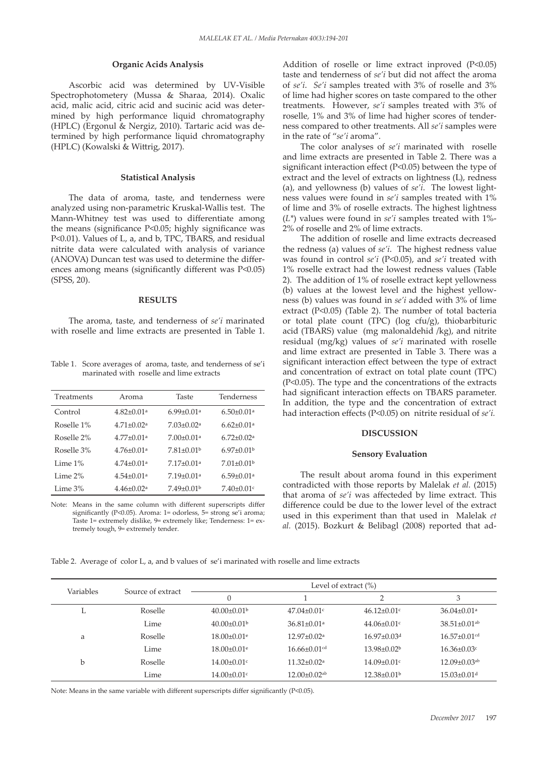#### **Organic Acids Analysis**

Ascorbic acid was determined by UV-Visible Spectrophotometery (Mussa & Sharaa, 2014). Oxalic acid, malic acid, citric acid and sucinic acid was determined by high performance liquid chromatography (HPLC) (Ergonul & Nergiz, 2010). Tartaric acid was determined by high performance liquid chromatography (HPLC) (Kowalski & Wittrig, 2017).

### **Statistical Analysis**

The data of aroma, taste, and tenderness were analyzed using non-parametric Kruskal-Wallis test. The Mann-Whitney test was used to differentiate among the means (significance P<0.05; highly significance was P<0.01). Values of L, a, and b, TPC, TBARS, and residual nitrite data were calculated with analysis of variance (ANOVA) Duncan test was used to determine the differences among means (significantly different was P<0.05) (SPSS, 20).

# **RESULTS**

The aroma, taste, and tenderness of *se'i* marinated with roselle and lime extracts are presented in Table 1.

Table 1. Score averages of aroma, taste, and tenderness of se'i marinated with roselle and lime extracts

| Treatments | Aroma                        | Taste                        | <b>Tenderness</b>            |
|------------|------------------------------|------------------------------|------------------------------|
| Control    | $4.82 \pm 0.01$ <sup>a</sup> | $6.99 \pm 0.01$ <sup>a</sup> | $6.50 \pm 0.01$ <sup>a</sup> |
| Roselle 1% | $4.71 \pm 0.02$ <sup>a</sup> | $7.03 + 0.02a$               | $6.62 \pm 0.01$ <sup>a</sup> |
| Roselle 2% | $4.77 \pm 0.01$ <sup>a</sup> | $7.00 + 0.01a$               | $6.72 \pm 0.02$ <sup>a</sup> |
| Roselle 3% | $4.76 + 0.01a$               | $7.81 + 0.01b$               | $6.97+0.01b$                 |
| Lime $1\%$ | $4.74 \pm 0.01$ <sup>a</sup> | $7.17 + 0.01a$               | $7.01 \pm 0.01$ <sup>b</sup> |
| Lime $2\%$ | $4.54 \pm 0.01$ <sup>a</sup> | $7.19 + 0.01a$               | $6.59 + 0.01a$               |
| Lime $3\%$ | $4.46 \pm 0.02^a$            | $7.49 \pm 0.01$ <sup>b</sup> | $7.40 \pm 0.01$ c            |

Note: Means in the same column with different superscripts differ significantly (P<0.05). Aroma: 1= odorless, 5= strong se'i aroma; Taste 1= extremely dislike, 9= extremely like; Tenderness: 1= extremely tough, 9= extremely tender.

Addition of roselle or lime extract inproved (P<0.05) taste and tenderness of *se'i* but did not affect the aroma of *se'i*. *Se'i* samples treated with 3% of roselle and 3% of lime had higher scores on taste compared to the other treatments. However, *se'i* samples treated with 3% of roselle*,* 1% and 3% of lime had higher scores of tenderness compared to other treatments. All *se'i* samples were in the rate of "*se'i* aroma".

The color analyses of *se'i* marinated with roselle and lime extracts are presented in Table 2. There was a significant interaction effect (P<0.05) between the type of extract and the level of extracts on lightness (L), redness (a), and yellowness (b) values of *se'i*. The lowest lightness values were found in *se'i* samples treated with 1% of lime and 3% of roselle extracts. The highest lightness (*L\**) values were found in *se'i* samples treated with 1%- 2% of roselle and 2% of lime extracts.

The addition of roselle and lime extracts decreased the redness (a) values of *se'i*. The highest redness value was found in control *se'i* (P<0.05), and *se'i* treated with 1% roselle extract had the lowest redness values (Table 2). The addition of 1% of roselle extract kept yellowness (b) values at the lowest level and the highest yellowness (b) values was found in *se'i* added with 3% of lime extract (P<0.05) (Table 2). The number of total bacteria or total plate count (TPC) (log cfu/g), thiobarbituric acid (TBARS) value (mg malonaldehid /kg), and nitrite residual (mg/kg) values of *se'i* marinated with roselle and lime extract are presented in Table 3. There was a significant interaction effect between the type of extract and concentration of extract on total plate count (TPC) (P<0.05). The type and the concentrations of the extracts had significant interaction effects on TBARS parameter. In addition, the type and the concentration of extract had interaction effects (P<0.05) on nitrite residual of *se'i.*

# **DISCUSSION**

#### **Sensory Evaluation**

The result about aroma found in this experiment contradicted with those reports by Malelak *et al.* (2015) that aroma of *se'i* was affecteded by lime extract. This difference could be due to the lower level of the extract used in this experiment than that used in Malelak *et al.* (2015). Bozkurt & Belibagl (2008) reported that ad-

Table 2. Average of color L, a, and b values of se'i marinated with roselle and lime extracts

|           |                   | Level of extract $(\%)$       |                                |                               |                                |  |  |
|-----------|-------------------|-------------------------------|--------------------------------|-------------------------------|--------------------------------|--|--|
| Variables | Source of extract |                               |                                |                               | 3                              |  |  |
| L         | Roselle           | $40.00 \pm 0.01$ <sup>b</sup> | $47.04 \pm 0.01$ c             | $46.12 \pm 0.01$              | $36.04 \pm 0.01$ <sup>a</sup>  |  |  |
|           | Lime              | $40.00 \pm 0.01$ <sup>b</sup> | $36.81 \pm 0.01$ <sup>a</sup>  | $44.06 \pm 0.01$              | $38.51 \pm 0.01$ <sup>ab</sup> |  |  |
| a         | Roselle           | $18.00 \pm 0.01$ <sup>e</sup> | $12.97 \pm 0.02$ <sup>a</sup>  | $16.97 \pm 0.03$ <sup>d</sup> | $16.57 \pm 0.01$ <sup>cd</sup> |  |  |
|           | Lime              | $18.00 \pm 0.01$ <sup>e</sup> | $16.66 \pm 0.01$ <sup>cd</sup> | $13.98 \pm 0.02^b$            | $16.36 \pm 0.03$ c             |  |  |
| b         | Roselle           | $14.00 \pm 0.01$ c            | $11.32 \pm 0.02^a$             | $14.09 \pm 0.01$ c            | $12.09 \pm 0.03$ <sup>ab</sup> |  |  |
|           | Lime              | $14.00 \pm 0.01$ c            | $12.00 \pm 0.02$ <sup>ab</sup> | $12.38 \pm 0.01$ <sup>b</sup> | $15.03 \pm 0.01$ <sup>d</sup>  |  |  |

Note: Means in the same variable with different superscripts differ significantly (P<0.05).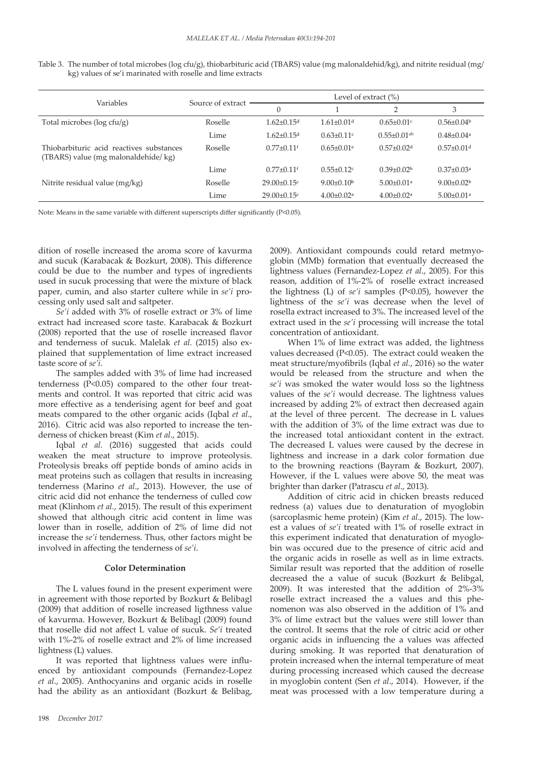| Table 3. The number of total microbes (log cfu/g), thiobarbituric acid (TBARS) value (mg malonaldehid/kg), and nitrite residual (mg/ |  |  |  |
|--------------------------------------------------------------------------------------------------------------------------------------|--|--|--|
| kg) values of se'i marinated with roselle and lime extracts                                                                          |  |  |  |

| Variables                                                                       | Source of extract | Level of extract $(\%)$      |                              |                               |                              |
|---------------------------------------------------------------------------------|-------------------|------------------------------|------------------------------|-------------------------------|------------------------------|
|                                                                                 |                   | $\theta$                     |                              | $\overline{2}$                | 3                            |
| Total microbes ( $log c f u/g$ )                                                | Roselle           | $1.62 + 0.15d$               | $1.61 \pm 0.01$ <sup>d</sup> | $0.65 \pm 0.01$ c             | $0.56 \pm 0.04$              |
|                                                                                 | Lime              | $1.62 \pm 0.15$ <sup>d</sup> | $0.63 \pm 0.11$ <sup>c</sup> | $0.55 \pm 0.01$ <sup>ab</sup> | $0.48 \pm 0.04$ <sup>a</sup> |
| Thiobarbituric acid reactives substances<br>(TBARS) value (mg malonaldehide/kg) | Roselle           | $0.77 \pm 0.11$ <sup>f</sup> | $0.65 \pm 0.01$ <sup>e</sup> | $0.57 \pm 0.02$ <sup>d</sup>  | $0.57 \pm 0.01$ <sup>d</sup> |
|                                                                                 | Lime              | $0.77 \pm 0.11$ <sup>f</sup> | $0.55 \pm 0.12$ c            | $0.39 \pm 0.02$               | $0.37 \pm 0.03$ <sup>a</sup> |
| Nitrite residual value (mg/kg)                                                  | Roselle           | $29.00 \pm 0.15$ c           | $9.00 \pm 0.10^b$            | $5.00 \pm 0.01$ <sup>a</sup>  | $9.00 \pm 0.02$              |
|                                                                                 | Lime              | $29.00 \pm 0.15$ c           | $4.00 \pm 0.02$ <sup>a</sup> | $4.00 \pm 0.02$ <sup>a</sup>  | $5.00 \pm 0.01$ <sup>a</sup> |

Note: Means in the same variable with different superscripts differ significantly (P<0.05).

dition of roselle increased the aroma score of kavurma and sucuk (Karabacak & Bozkurt, 2008). This difference could be due to the number and types of ingredients used in sucuk processing that were the mixture of black paper, cumin, and also starter cultere while in *se'i* processing only used salt and saltpeter.

*Se'i* added with 3% of roselle extract or 3% of lime extract had increased score taste. Karabacak & Bozkurt (2008) reported that the use of roselle increased flavor and tenderness of sucuk. Malelak *et al.* (2015) also explained that supplementation of lime extract increased taste score of *se'i*.

The samples added with 3% of lime had increased tenderness (P<0.05) compared to the other four treatments and control. It was reported that citric acid was more effective as a tenderising agent for beef and goat meats compared to the other organic acids (Iqbal *et al*., 2016). Citric acid was also reported to increase the tenderness of chicken breast (Kim *et al*., 2015).

Iqbal *et al.* (2016) suggested that acids could weaken the meat structure to improve proteolysis. Proteolysis breaks off peptide bonds of amino acids in meat proteins such as collagen that results in increasing tenderness (Marino *et al*., 2013). However, the use of citric acid did not enhance the tenderness of culled cow meat (Klinhom *et al.*, 2015). The result of this experiment showed that although citric acid content in lime was lower than in roselle, addition of 2% of lime did not increase the *se'i* tenderness. Thus, other factors might be involved in affecting the tenderness of *se'i*.

# **Color Determination**

The L values found in the present experiment were in agreement with those reported by Bozkurt & Belibagl (2009) that addition of roselle increased ligthness value of kavurma. However, Bozkurt & Belibagl (2009) found that roselle did not affect L value of sucuk. *Se'i* treated with 1%-2% of roselle extract and 2% of lime increased lightness (L) values.

It was reported that lightness values were influenced by antioxidant compounds (Fernandez-Lopez *et al*., 2005). Anthocyanins and organic acids in roselle had the ability as an antioxidant (Bozkurt & Belibag,

2009). Antioxidant compounds could retard metmyoglobin (MMb) formation that eventually decreased the lightness values (Fernandez-Lopez *et al*., 2005). For this reason, addition of 1%-2% of roselle extract increased the lightness (L) of *se'i* samples (P<0.05), however the lightness of the *se'i* was decrease when the level of rosella extract increased to 3%. The increased level of the extract used in the *se'i* processing will increase the total concentration of antioxidant.

When 1% of lime extract was added, the lightness values decreased (P<0.05). The extract could weaken the meat structure/myofibrils (Iqbal *et al.*, 2016) so the water would be released from the structure and when the *se'i* was smoked the water would loss so the lightness values of the *se'i* would decrease. The lightness values increased by adding 2% of extract then decreased again at the level of three percent. The decrease in L values with the addition of 3% of the lime extract was due to the increased total antioxidant content in the extract. The decreased L values were caused by the decrese in lightness and increase in a dark color formation due to the browning reactions (Bayram & Bozkurt, 2007). However, if the L values were above 50, the meat was brighter than darker (Patrascu *et al*., 2013).

Addition of citric acid in chicken breasts reduced redness (a) values due to denaturation of myoglobin (sarcoplasmic heme protein) (Kim *et al*., 2015). The lowest a values of *se'i* treated with 1% of roselle extract in this experiment indicated that denaturation of myoglobin was occured due to the presence of citric acid and the organic acids in roselle as well as in lime extracts. Similar result was reported that the addition of roselle decreased the a value of sucuk (Bozkurt & Belibgal, 2009). It was interested that the addition of 2%-3% roselle extract increased the a values and this phenomenon was also observed in the addition of 1% and 3% of lime extract but the values were still lower than the control. It seems that the role of citric acid or other organic acids in influencing the a values was affected during smoking. It was reported that denaturation of protein increased when the internal temperature of meat during processing increased which caused the decrease in myoglobin content (Sen *et al*., 2014). However, if the meat was processed with a low temperature during a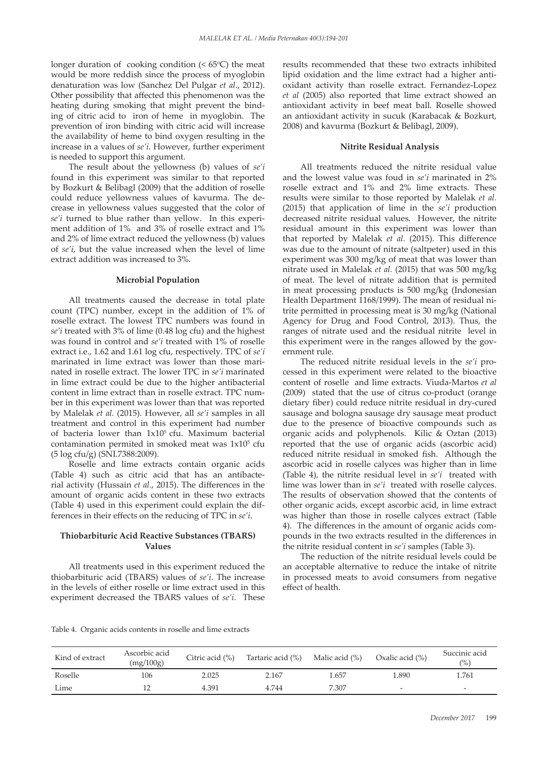longer duration of cooking condition  $($  <  $65^{\circ}$ C $)$  the meat would be more reddish since the process of myoglobin denaturation was low (Sanchez Del Pulgar *et al*., 2012). Other possibility that affected this phenomenon was the heating during smoking that might prevent the binding of citric acid to iron of heme in myoglobin. The prevention of iron binding with citric acid will increase the availability of heme to bind oxygen resulting in the increase in a values of *se'i*. However, further experiment is needed to support this argument.

The result about the yellowness (b) values of *se'i* found in this experiment was similar to that reported by Bozkurt & Belibagl (2009) that the addition of roselle could reduce yellowness values of kavurma. The decrease in yellowness values suggested that the color of *se'i* turned to blue rather than yellow. In this experiment addition of 1% and 3% of roselle extract and 1% and 2% of lime extract reduced the yellowness (b) values of *se'i*, but the value increased when the level of lime extract addition was increased to 3%.

#### **Microbial Population**

All treatments caused the decrease in total plate count (TPC) number, except in the addition of 1% of roselle extract. The lowest TPC numbers was found in *se'i* treated with 3% of lime (0.48 log cfu) and the highest was found in control and *se'i* treated with 1% of roselle extract i.e., 1.62 and 1.61 log cfu, respectively. TPC of *se'i* marinated in lime extract was lower than those marinated in roselle extract. The lower TPC in *se'i* marinated in lime extract could be due to the higher antibacterial content in lime extract than in roselle extract. TPC number in this experiment was lower than that was reported by Malelak *et al.* (2015). However, all *se'i* samples in all treatment and control in this experiment had number of bacteria lower than  $1x10^5$  cfu. Maximum bacterial contamination permited in smoked meat was 1x10<sup>5</sup> cfu (5 log cfu/g) (SNI.7388:2009).

Roselle and lime extracts contain organic acids (Table 4) such as citric acid that has an antibacterial activity (Hussain *et al*., 2015). The differences in the amount of organic acids content in these two extracts (Table 4) used in this experiment could explain the differences in their effects on the reducing of TPC in *se'i*.

# **Thiobarbituric Acid Reactive Substances (TBARS) Values**

All treatments used in this experiment reduced the thiobarbituric acid (TBARS) values of *se'i*. The increase in the levels of either roselle or lime extract used in this experiment decreased the TBARS values of *se'i*. These results recommended that these two extracts inhibited lipid oxidation and the lime extract had a higher antioxidant activity than roselle extract. Fernandez-Lopez *et al* (2005) also reported that lime extract showed an antioxidant activity in beef meat ball. Roselle showed an antioxidant activity in sucuk (Karabacak & Bozkurt, 2008) and kavurma (Bozkurt & Belibagl, 2009).

### **Nitrite Residual Analysis**

All treatments reduced the nitrite residual value and the lowest value was foud in *se'i* marinated in 2% roselle extract and 1% and 2% lime extracts*.* These results were similar to those reported by Malelak *et al.* (2015) that application of lime in the *se'i* production decreased nitrite residual values*.* However, the nitrite residual amount in this experiment was lower than that reported by Malelak *et al.* (2015). This difference was due to the amount of nitrate (saltpeter) used in this experiment was 300 mg/kg of meat that was lower than nitrate used in Malelak *et al.* (2015) that was 500 mg/kg of meat. The level of nitrate addition that is permited in meat processing products is 500 mg/kg (Indonesian Health Department 1168/1999). The mean of residual nitrite permitted in processing meat is 30 mg/kg (National Agency for Drug and Food Control, 2013). Thus, the ranges of nitrate used and the residual nitrite level in this experiment were in the ranges allowed by the government rule.

The reduced nitrite residual levels in the *se'i* processed in this experiment were related to the bioactive content of roselle and lime extracts. Viuda-Martos *et al* (2009) stated that the use of citrus co-product (orange dietary fiber) could reduce nitrite residual in dry-cured sausage and bologna sausage dry sausage meat product due to the presence of bioactive compounds such as organic acids and polyphenols. Kilic & Oztan (2013) reported that the use of organic acids (ascorbic acid) reduced nitrite residual in smoked fish. Although the ascorbic acid in roselle calyces was higher than in lime (Table 4), the nitrite residual level in *se'i* treated with lime was lower than in *se'i* treated with roselle calyces. The results of observation showed that the contents of other organic acids, except ascorbic acid, in lime extract was higher than those in roselle calyces extract (Table 4). The differences in the amount of organic acids compounds in the two extracts resulted in the differences in the nitrite residual content in *se'i* samples (Table 3).

The reduction of the nitrite residual levels could be an acceptable alternative to reduce the intake of nitrite in processed meats to avoid consumers from negative effect of health.

| Table 4. Organic acids contents in roselle and lime extracts |
|--------------------------------------------------------------|
|--------------------------------------------------------------|

| Kind of extract | Ascorbic acid<br>(mg/100g) | Citric acid (%) | Tartaric acid (%) Malic acid (%) |       | Oxalic acid (%) | Succinic acid<br>$(\%)$ |
|-----------------|----------------------------|-----------------|----------------------------------|-------|-----------------|-------------------------|
| Roselle         | 106                        | 2.025           | 2.167                            | 1.657 | 1.890           | 1.761                   |
| Lime            |                            | 4.391           | 4.744                            | 7.307 | -               | -                       |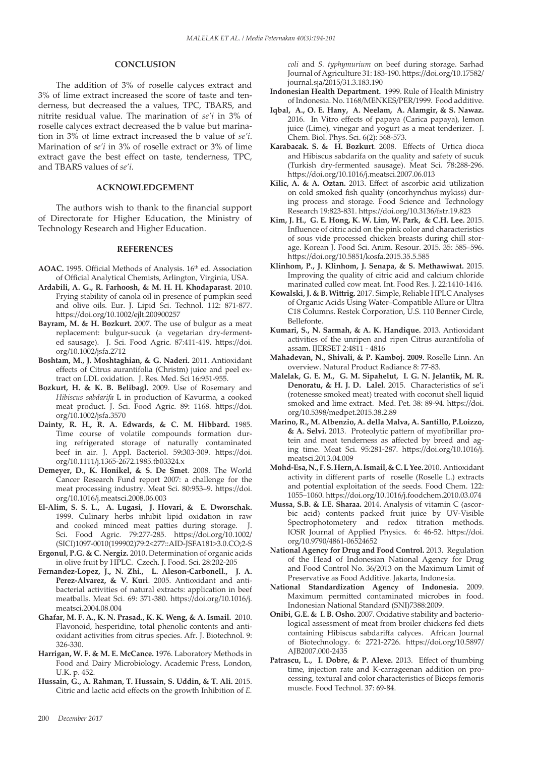# **CONCLUSION**

The addition of 3% of roselle calyces extract and 3% of lime extract increased the score of taste and tenderness, but decreased the a values, TPC, TBARS, and nitrite residual value. The marination of *se'i* in 3% of roselle calyces extract decreased the b value but marination in 3% of lime extract increased the b value of *se'i*. Marination of *se'i* in 3% of roselle extract or 3% of lime extract gave the best effect on taste, tenderness, TPC, and TBARS values of *se'i*.

# **ACKNOWLEDGEMENT**

The authors wish to thank to the financial support of Directorate for Higher Education, the Ministry of Technology Research and Higher Education.

#### **REFERENCES**

- AOAC. 1995. Official Methods of Analysis. 16<sup>th</sup> ed. Association of Official Analytical Chemists, Arlington, Virginia, USA.
- **Ardabili, A. G., R. Farhoosh, & M. H. H. Khodaparast**. 2010. Frying stability of canola oil in presence of pumpkin seed and olive oils. Eur. J. Lipid Sci. Technol. 112: 871-877. https://doi.org/10.1002/ejlt.200900257
- **Bayram, M. & H. Bozkurt.** 2007. The use of bulgur as a meat replacement: bulgur-sucuk (a vegetarian dry-fermented sausage). J. Sci. Food Agric. 87:411-419. https://doi. org/10.1002/jsfa.2712
- **Boshtam, M., J. Moshtaghian, & G. Naderi.** 2011. Antioxidant effects of Citrus aurantifolia (Christm) juice and peel extract on LDL oxidation. J. Res. Med. Sci 16:951-955.
- **Bozkurt, H. & K. B. Belibagl.** 2009. Use of Rosemary and *Hibiscus sabdarifa* L in production of Kavurma, a cooked meat product. J. Sci. Food Agric. 89: 1168. https://doi. org/10.1002/jsfa.3570
- **Dainty, R. H., R. A. Edwards, & C. M. Hibbard.** 1985. Time course of volatile compounds formation during refrigerated storage of naturally contaminated beef in air. J. Appl. Bacteriol. 59**:**303-309. https://doi. org/10.1111/j.1365-2672.1985.tb03324.x
- **Demeyer, D., K. Honikel, & S. De Smet**. 2008. The World Cancer Research Fund report 2007: a challenge for the meat processing industry. Meat Sci. 80:953–9. https://doi. org/10.1016/j.meatsci.2008.06.003
- **El-Alim, S. S. L., A. Lugasi, J. Hovari, & E. Dworschak.** 1999. Culinary herbs inhibit lipid oxidation in raw and cooked minced meat patties during storage. J. Sci. Food Agric. 79:277-285. https://doi.org/10.1002/ (SICI)1097-0010(199902)79:2<277::AID-JSFA181>3.0.CO;2-S
- **Ergonul, P.G. & C. Nergiz.** 2010. Determination of organic acids in olive fruit by HPLC. Czech. J. Food. Sci. 28:202-205
- **Fernandez-Lopez, J., N. Zhi., L. Aleson-Carbonell., J. A. Perez-Alvarez, & V. Kuri**. 2005. Antioxidant and antibacterial activities of natural extracts: application in beef meatballs. Meat Sci. 69: 371-380. https://doi.org/10.1016/j. meatsci.2004.08.004
- **Ghafar, M. F. A., K. N. Prasad., K. K. Weng, & A. Ismail.** 2010. Flavonoid, hesperidine, total phenolic contents and antioxidant activities from citrus species. Afr. J. Biotechnol. 9: 326-330.
- **Harrigan, W. F. & M. E. McCance.** 1976. Laboratory Methods in Food and Dairy Microbiology. Academic Press, London, U.K. p. 452.
- **Hussain, G., A. Rahman, T. Hussain, S. Uddin, & T. Ali.** 2015. Citric and lactic acid effects on the growth Inhibition of *E.*

*coli* and *S. typhymurium* on beef during storage. Sarhad Journal of Agriculture 31: 183-190. https://doi.org/10.17582/ journal.sja/2015/31.3.183.190

- **Indonesian Health Department.** 1999. Rule of Health Ministry of Indonesia. No. 1168/MENKES/PER/1999. Food additive.
- **Iqbal, A., O. E. Hany, A. Neelam, A. Alamgir, & S. Nawaz.**  2016.In Vitro effects of papaya (Carica papaya), lemon juice (Lime), vinegar and yogurt as a meat tenderizer. J. Chem. Biol. Phys. Sci. 6(2): 568-573.
- **Karabacak. S. & H. Bozkurt**. 2008. Effects of Urtica dioca and Hibiscus sabdarifa on the quality and safety of sucuk (Turkish dry-fermented sausage). Meat Sci. 78:288-296. https://doi.org/10.1016/j.meatsci.2007.06.013
- **Kilic, A. & A. Oztan.** 2013. Effect of ascorbic acid utilization on cold smoked fish quality (oncorhynchus mykiss) during process and storage. Food Science and Technology Research 19:823-831. https://doi.org/10.3136/fstr.19.823
- **Kim, J. H., G. E. Hong, K. W. Lim, W. Park, & C.H. Lee.** 2015. Influence of citric acid on the pink color and characteristics of sous vide processed chicken breasts during chill storage. Korean J. Food Sci. Anim. Resour. 2015. 35: 585–596. https://doi.org/10.5851/kosfa.2015.35.5.585
- **Klinhom, P., J. Klinhom, J. Senapa, & S. Methawiwat.** 2015. Improving the quality of citric acid and calcium chloride marinated culled cow meat. Int. Food Res. J. 22:1410-1416.
- **Kowalski, J. & B. Wittrig.** 2017. Simple, Reliable HPLC Analyses of Organic Acids Using Water–Compatible Allure or Ultra C18 Columns. Restek Corporation, U.S. 110 Benner Circle, Bellefonte.
- **Kumari, S., N. Sarmah, & A. K. Handique.** 2013. Antioxidant activities of the unripen and ripen Citrus aurantifolia of assam. IJERSET 2:4811 - 4816
- **Mahadevan, N., Shivali, & P. Kamboj. 2009.** Roselle Linn. An overview. Natural Product Radiance 8: 77-83.
- **Malelak, G. E. M., G. M. Sipahelut, I. G. N. Jelantik, M. R. Denoratu, & H. J. D. Lalel**. 2015. Characteristics of se'i (rotenesse smoked meat) treated with coconut shell liquid smoked and lime extract. Med. Pet. 38: 89-94. https://doi. org/10.5398/medpet.2015.38.2.89
- **Marino, R., M. Albenzio, A. della Malva, A. Santillo, P.Loizzo, & A. Selvi.** 2013. Proteolytic pattern of myofibrillar protein and meat tenderness as affected by breed and aging time. Meat Sci. 95:281-287. https://doi.org/10.1016/j. meatsci.2013.04.009
- **Mohd-Esa, N., F. S. Hern, A. Ismail, & C. L Yee.** 2010. Antioxidant activity in different parts of roselle (Roselle L.) extracts and potential exploitation of the seeds. Food Chem. 122: 1055–1060. https://doi.org/10.1016/j.foodchem.2010.03.074
- **Mussa, S.B. & I.E. Sharaa.** 2014. Analysis of vitamin C (ascorbic acid) contents packed fruit juice by UV-Visible Spectrophotometery and redox titration methods. IOSR Journal of Applied Physics. 6: 46-52. https://doi. org/10.9790/4861-06524652
- **National Agency for Drug and Food Control.** 2013. Regulation of the Head of Indonesian National Agency for Drug and Food Control No. 36/2013 on the Maximum Limit of Preservative as Food Additive. Jakarta, Indonesia.
- **National Standardization Agency of Indonesia.** 2009. Maximum permitted contaminated microbes in food. Indonesian National Standard (SNI)7388:2009.
- **Onibi, G.E. & I. B. Osho.** 2007. Oxidative stability and bacteriological assessment of meat from broiler chickens fed diets containing Hibiscus sabdariffa calyces. African Journal of Biotechnology. 6: 2721-2726. https://doi.org/10.5897/ AJB2007.000-2435
- **Patrascu, L., I. Dobre, & P. Alexe.** 2013. Effect of thumbing time, injection rate and K-carrageenan addition on processing, textural and color characteristics of Biceps femoris muscle. Food Technol. 37: 69-84.